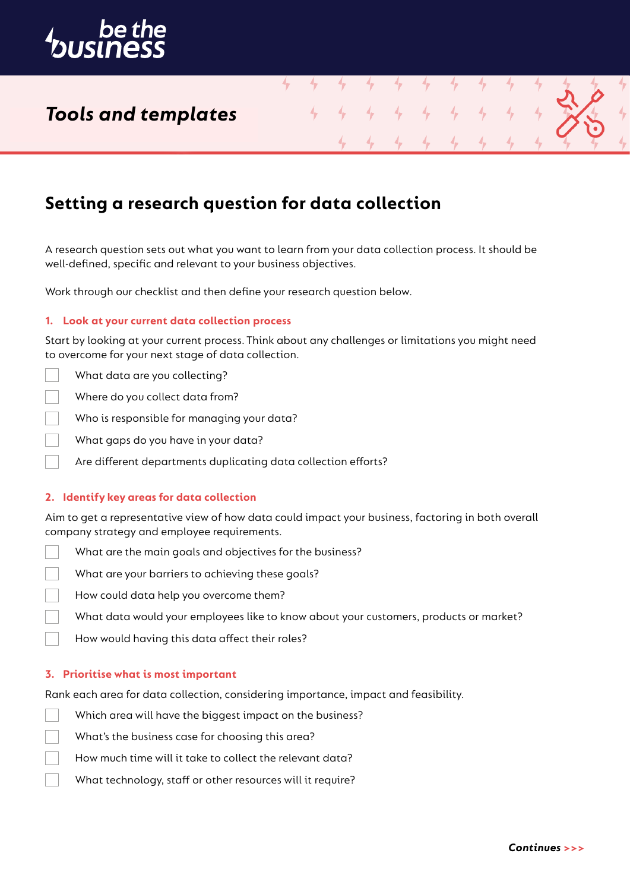

## *Tools and templates*

### **Setting a research question for data collection**

A research question sets out what you want to learn from your data collection process. It should be well-defined, specific and relevant to your business objectives.

4

Work through our checklist and then define your research question below.

### **1. Look at your current data collection process**

Start by looking at your current process. Think about any challenges or limitations you might need to overcome for your next stage of data collection.

- What data are you collecting?
- Where do you collect data from?
- Who is responsible for managing your data?
- What gaps do you have in your data?
- Are different departments duplicating data collection efforts?

### **2. Identify key areas for data collection**

Aim to get a representative view of how data could impact your business, factoring in both overall company strategy and employee requirements.

- What are the main goals and objectives for the business?
- What are your barriers to achieving these goals?
- How could data help you overcome them?
- What data would your employees like to know about your customers, products or market?
- How would having this data affect their roles?

#### **3. Prioritise what is most important**

Rank each area for data collection, considering importance, impact and feasibility.

- Which area will have the biggest impact on the business?
	- What's the business case for choosing this area?
	- How much time will it take to collect the relevant data?
	- What technology, staff or other resources will it require?